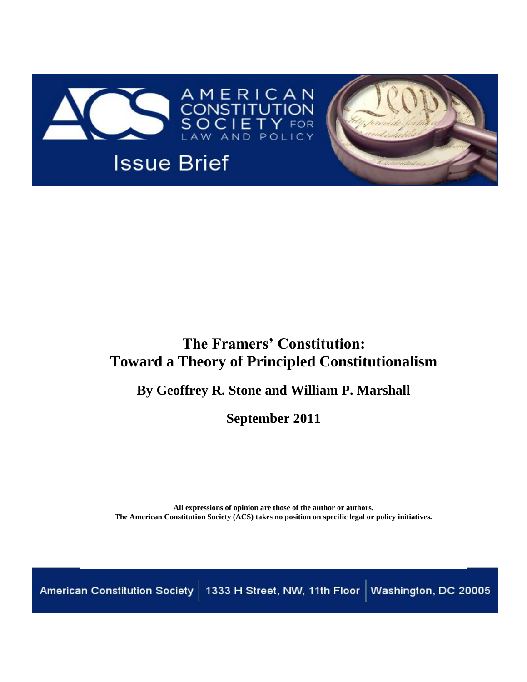

# **The Framers' Constitution: Toward a Theory of Principled Constitutionalism**

## **By Geoffrey R. Stone and William P. Marshall**

**September 2011**

**All expressions of opinion are those of the author or authors. The American Constitution Society (ACS) takes no position on specific legal or policy initiatives.**

American Constitution Society  $\Big|$  1333 H Street, NW, 11th Floor  $\Big|$  Washington, DC 20005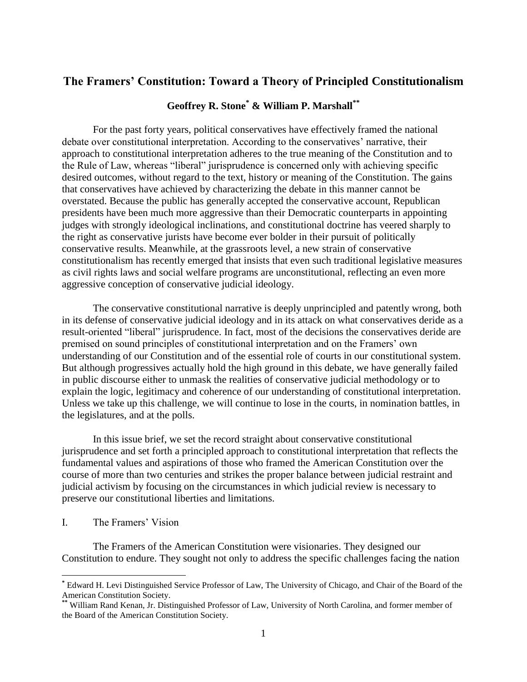### **The Framers' Constitution: Toward a Theory of Principled Constitutionalism**

## **Geoffrey R. Stone\* & William P. Marshall\*\***

For the past forty years, political conservatives have effectively framed the national debate over constitutional interpretation. According to the conservatives' narrative, their approach to constitutional interpretation adheres to the true meaning of the Constitution and to the Rule of Law, whereas "liberal" jurisprudence is concerned only with achieving specific desired outcomes, without regard to the text, history or meaning of the Constitution. The gains that conservatives have achieved by characterizing the debate in this manner cannot be overstated. Because the public has generally accepted the conservative account, Republican presidents have been much more aggressive than their Democratic counterparts in appointing judges with strongly ideological inclinations, and constitutional doctrine has veered sharply to the right as conservative jurists have become ever bolder in their pursuit of politically conservative results. Meanwhile, at the grassroots level, a new strain of conservative constitutionalism has recently emerged that insists that even such traditional legislative measures as civil rights laws and social welfare programs are unconstitutional, reflecting an even more aggressive conception of conservative judicial ideology.

The conservative constitutional narrative is deeply unprincipled and patently wrong, both in its defense of conservative judicial ideology and in its attack on what conservatives deride as a result-oriented "liberal" jurisprudence. In fact, most of the decisions the conservatives deride are premised on sound principles of constitutional interpretation and on the Framers' own understanding of our Constitution and of the essential role of courts in our constitutional system. But although progressives actually hold the high ground in this debate, we have generally failed in public discourse either to unmask the realities of conservative judicial methodology or to explain the logic, legitimacy and coherence of our understanding of constitutional interpretation. Unless we take up this challenge, we will continue to lose in the courts, in nomination battles, in the legislatures, and at the polls.

In this issue brief, we set the record straight about conservative constitutional jurisprudence and set forth a principled approach to constitutional interpretation that reflects the fundamental values and aspirations of those who framed the American Constitution over the course of more than two centuries and strikes the proper balance between judicial restraint and judicial activism by focusing on the circumstances in which judicial review is necessary to preserve our constitutional liberties and limitations.

I. The Framers' Vision

 $\overline{a}$ 

The Framers of the American Constitution were visionaries. They designed our Constitution to endure. They sought not only to address the specific challenges facing the nation

**<sup>\*</sup>** Edward H. Levi Distinguished Service Professor of Law, The University of Chicago, and Chair of the Board of the American Constitution Society.

**<sup>\*\*</sup>** William Rand Kenan, Jr. Distinguished Professor of Law, University of North Carolina, and former member of the Board of the American Constitution Society.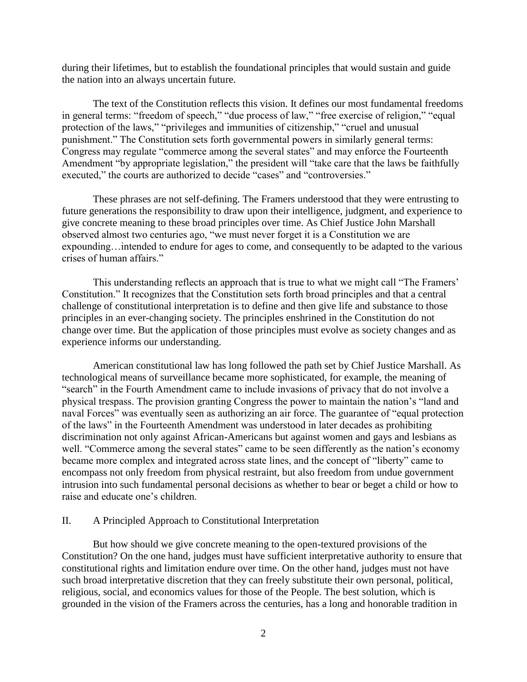during their lifetimes, but to establish the foundational principles that would sustain and guide the nation into an always uncertain future.

The text of the Constitution reflects this vision. It defines our most fundamental freedoms in general terms: "freedom of speech," "due process of law," "free exercise of religion," "equal protection of the laws," "privileges and immunities of citizenship," "cruel and unusual punishment." The Constitution sets forth governmental powers in similarly general terms: Congress may regulate "commerce among the several states" and may enforce the Fourteenth Amendment "by appropriate legislation," the president will "take care that the laws be faithfully executed," the courts are authorized to decide "cases" and "controversies."

These phrases are not self-defining. The Framers understood that they were entrusting to future generations the responsibility to draw upon their intelligence, judgment, and experience to give concrete meaning to these broad principles over time. As Chief Justice John Marshall observed almost two centuries ago, "we must never forget it is a Constitution we are expounding…intended to endure for ages to come, and consequently to be adapted to the various crises of human affairs."

This understanding reflects an approach that is true to what we might call "The Framers' Constitution." It recognizes that the Constitution sets forth broad principles and that a central challenge of constitutional interpretation is to define and then give life and substance to those principles in an ever-changing society. The principles enshrined in the Constitution do not change over time. But the application of those principles must evolve as society changes and as experience informs our understanding.

American constitutional law has long followed the path set by Chief Justice Marshall. As technological means of surveillance became more sophisticated, for example, the meaning of "search" in the Fourth Amendment came to include invasions of privacy that do not involve a physical trespass. The provision granting Congress the power to maintain the nation's "land and naval Forces" was eventually seen as authorizing an air force. The guarantee of "equal protection of the laws" in the Fourteenth Amendment was understood in later decades as prohibiting discrimination not only against African-Americans but against women and gays and lesbians as well. "Commerce among the several states" came to be seen differently as the nation's economy became more complex and integrated across state lines, and the concept of "liberty" came to encompass not only freedom from physical restraint, but also freedom from undue government intrusion into such fundamental personal decisions as whether to bear or beget a child or how to raise and educate one's children.

#### II. A Principled Approach to Constitutional Interpretation

But how should we give concrete meaning to the open-textured provisions of the Constitution? On the one hand, judges must have sufficient interpretative authority to ensure that constitutional rights and limitation endure over time. On the other hand, judges must not have such broad interpretative discretion that they can freely substitute their own personal, political, religious, social, and economics values for those of the People. The best solution, which is grounded in the vision of the Framers across the centuries, has a long and honorable tradition in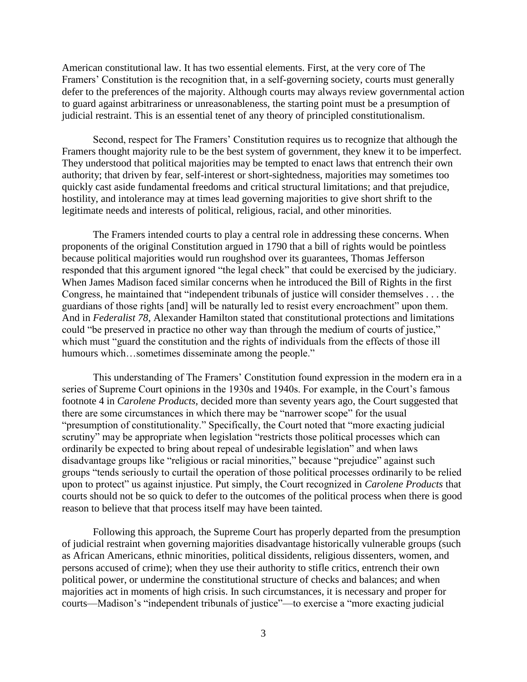American constitutional law. It has two essential elements. First, at the very core of The Framers' Constitution is the recognition that, in a self-governing society, courts must generally defer to the preferences of the majority. Although courts may always review governmental action to guard against arbitrariness or unreasonableness, the starting point must be a presumption of judicial restraint. This is an essential tenet of any theory of principled constitutionalism.

Second, respect for The Framers' Constitution requires us to recognize that although the Framers thought majority rule to be the best system of government, they knew it to be imperfect. They understood that political majorities may be tempted to enact laws that entrench their own authority; that driven by fear, self-interest or short-sightedness, majorities may sometimes too quickly cast aside fundamental freedoms and critical structural limitations; and that prejudice, hostility, and intolerance may at times lead governing majorities to give short shrift to the legitimate needs and interests of political, religious, racial, and other minorities.

The Framers intended courts to play a central role in addressing these concerns. When proponents of the original Constitution argued in 1790 that a bill of rights would be pointless because political majorities would run roughshod over its guarantees, Thomas Jefferson responded that this argument ignored "the legal check" that could be exercised by the judiciary. When James Madison faced similar concerns when he introduced the Bill of Rights in the first Congress, he maintained that "independent tribunals of justice will consider themselves . . . the guardians of those rights [and] will be naturally led to resist every encroachment" upon them. And in *Federalist 78*, Alexander Hamilton stated that constitutional protections and limitations could "be preserved in practice no other way than through the medium of courts of justice," which must "guard the constitution and the rights of individuals from the effects of those ill humours which...sometimes disseminate among the people."

This understanding of The Framers' Constitution found expression in the modern era in a series of Supreme Court opinions in the 1930s and 1940s. For example, in the Court's famous footnote 4 in *Carolene Products,* decided more than seventy years ago, the Court suggested that there are some circumstances in which there may be "narrower scope" for the usual "presumption of constitutionality." Specifically, the Court noted that "more exacting judicial scrutiny" may be appropriate when legislation "restricts those political processes which can ordinarily be expected to bring about repeal of undesirable legislation" and when laws disadvantage groups like "religious or racial minorities," because "prejudice" against such groups "tends seriously to curtail the operation of those political processes ordinarily to be relied upon to protect" us against injustice. Put simply, the Court recognized in *Carolene Products* that courts should not be so quick to defer to the outcomes of the political process when there is good reason to believe that that process itself may have been tainted.

Following this approach, the Supreme Court has properly departed from the presumption of judicial restraint when governing majorities disadvantage historically vulnerable groups (such as African Americans, ethnic minorities, political dissidents, religious dissenters, women, and persons accused of crime); when they use their authority to stifle critics, entrench their own political power, or undermine the constitutional structure of checks and balances; and when majorities act in moments of high crisis. In such circumstances, it is necessary and proper for courts—Madison's "independent tribunals of justice"—to exercise a "more exacting judicial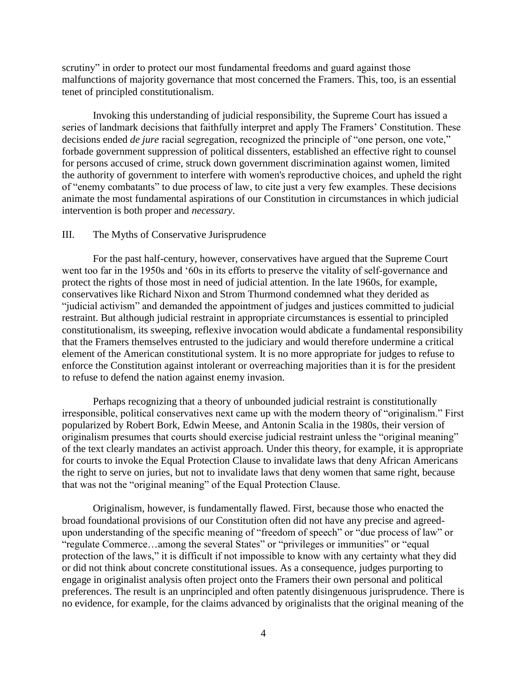scrutiny" in order to protect our most fundamental freedoms and guard against those malfunctions of majority governance that most concerned the Framers. This, too, is an essential tenet of principled constitutionalism.

Invoking this understanding of judicial responsibility, the Supreme Court has issued a series of landmark decisions that faithfully interpret and apply The Framers' Constitution. These decisions ended *de jure* racial segregation, recognized the principle of "one person, one vote," forbade government suppression of political dissenters, established an effective right to counsel for persons accused of crime, struck down government discrimination against women, limited the authority of government to interfere with women's reproductive choices, and upheld the right of "enemy combatants" to due process of law, to cite just a very few examples. These decisions animate the most fundamental aspirations of our Constitution in circumstances in which judicial intervention is both proper and *necessary*.

#### III. The Myths of Conservative Jurisprudence

For the past half-century, however, conservatives have argued that the Supreme Court went too far in the 1950s and '60s in its efforts to preserve the vitality of self-governance and protect the rights of those most in need of judicial attention. In the late 1960s, for example, conservatives like Richard Nixon and Strom Thurmond condemned what they derided as "judicial activism" and demanded the appointment of judges and justices committed to judicial restraint. But although judicial restraint in appropriate circumstances is essential to principled constitutionalism, its sweeping, reflexive invocation would abdicate a fundamental responsibility that the Framers themselves entrusted to the judiciary and would therefore undermine a critical element of the American constitutional system. It is no more appropriate for judges to refuse to enforce the Constitution against intolerant or overreaching majorities than it is for the president to refuse to defend the nation against enemy invasion.

Perhaps recognizing that a theory of unbounded judicial restraint is constitutionally irresponsible, political conservatives next came up with the modern theory of "originalism." First popularized by Robert Bork, Edwin Meese, and Antonin Scalia in the 1980s, their version of originalism presumes that courts should exercise judicial restraint unless the "original meaning" of the text clearly mandates an activist approach. Under this theory, for example, it is appropriate for courts to invoke the Equal Protection Clause to invalidate laws that deny African Americans the right to serve on juries, but not to invalidate laws that deny women that same right, because that was not the "original meaning" of the Equal Protection Clause.

Originalism, however, is fundamentally flawed. First, because those who enacted the broad foundational provisions of our Constitution often did not have any precise and agreedupon understanding of the specific meaning of "freedom of speech" or "due process of law" or "regulate Commerce…among the several States" or "privileges or immunities" or "equal protection of the laws," it is difficult if not impossible to know with any certainty what they did or did not think about concrete constitutional issues. As a consequence, judges purporting to engage in originalist analysis often project onto the Framers their own personal and political preferences. The result is an unprincipled and often patently disingenuous jurisprudence. There is no evidence, for example, for the claims advanced by originalists that the original meaning of the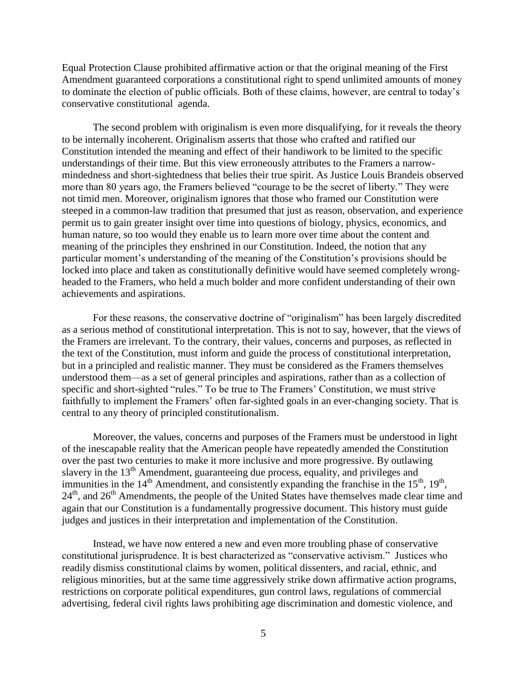Equal Protection Clause prohibited affirmative action or that the original meaning of the First Amendment guaranteed corporations a constitutional right to spend unlimited amounts of money to dominate the election of public officials. Both of these claims, however, are central to today's conservative constitutional agenda.

The second problem with originalism is even more disqualifying, for it reveals the theory to be internally incoherent. Originalism asserts that those who crafted and ratified our Constitution intended the meaning and effect of their handiwork to be limited to the specific understandings of their time. But this view erroneously attributes to the Framers a narrowmindedness and short-sightedness that belies their true spirit. As Justice Louis Brandeis observed more than 80 years ago, the Framers believed "courage to be the secret of liberty." They were not timid men. Moreover, originalism ignores that those who framed our Constitution were steeped in a common-law tradition that presumed that just as reason, observation, and experience permit us to gain greater insight over time into questions of biology, physics, economics, and human nature, so too would they enable us to learn more over time about the content and meaning of the principles they enshrined in our Constitution. Indeed, the notion that any particular moment's understanding of the meaning of the Constitution's provisions should be locked into place and taken as constitutionally definitive would have seemed completely wrongheaded to the Framers, who held a much bolder and more confident understanding of their own achievements and aspirations.

For these reasons, the conservative doctrine of "originalism" has been largely discredited as a serious method of constitutional interpretation. This is not to say, however, that the views of the Framers are irrelevant. To the contrary, their values, concerns and purposes, as reflected in the text of the Constitution, must inform and guide the process of constitutional interpretation, but in a principled and realistic manner. They must be considered as the Framers themselves understood them—as a set of general principles and aspirations, rather than as a collection of specific and short-sighted "rules." To be true to The Framers' Constitution, we must strive faithfully to implement the Framers' often far-sighted goals in an ever-changing society. That is central to any theory of principled constitutionalism.

Moreover, the values, concerns and purposes of the Framers must be understood in light of the inescapable reality that the American people have repeatedly amended the Constitution over the past two centuries to make it more inclusive and more progressive. By outlawing slavery in the  $13<sup>th</sup>$  Amendment, guaranteeing due process, equality, and privileges and immunities in the  $14<sup>th</sup>$  Amendment, and consistently expanding the franchise in the  $15<sup>th</sup>$ ,  $19<sup>th</sup>$ , 24<sup>th</sup>, and 26<sup>th</sup> Amendments, the people of the United States have themselves made clear time and again that our Constitution is a fundamentally progressive document. This history must guide judges and justices in their interpretation and implementation of the Constitution.

Instead, we have now entered a new and even more troubling phase of conservative constitutional jurisprudence. It is best characterized as "conservative activism." Justices who readily dismiss constitutional claims by women, political dissenters, and racial, ethnic, and religious minorities, but at the same time aggressively strike down affirmative action programs, restrictions on corporate political expenditures, gun control laws, regulations of commercial advertising, federal civil rights laws prohibiting age discrimination and domestic violence, and